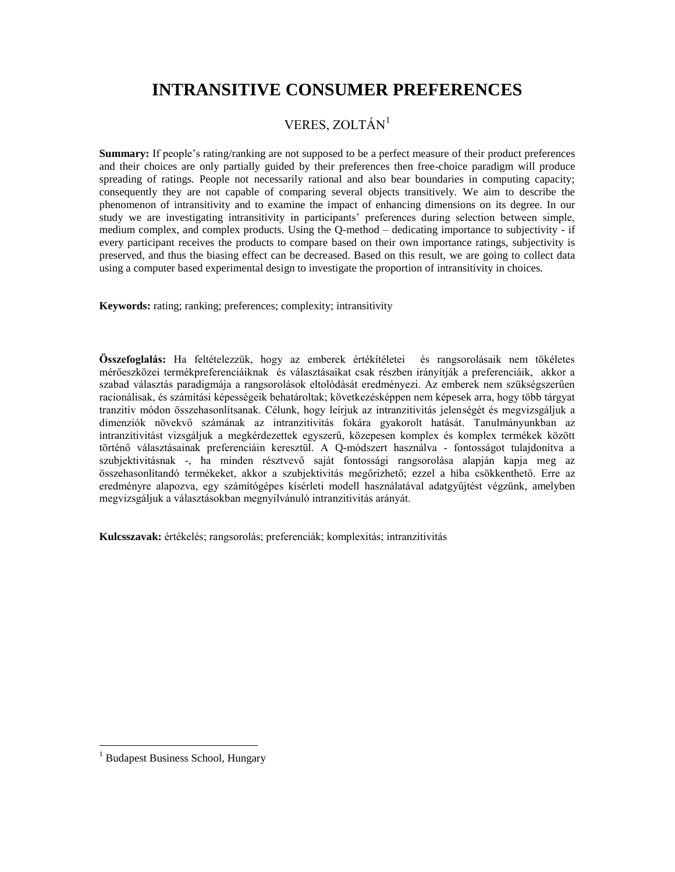# **INTRANSITIVE CONSUMER PREFERENCES**

#### VERES, ZOLTÁN<sup>1</sup>

**Summary:** If people's rating/ranking are not supposed to be a perfect measure of their product preferences and their choices are only partially guided by their preferences then free-choice paradigm will produce spreading of ratings. People not necessarily rational and also bear boundaries in computing capacity; consequently they are not capable of comparing several objects transitively. We aim to describe the phenomenon of intransitivity and to examine the impact of enhancing dimensions on its degree. In our study we are investigating intransitivity in participants' preferences during selection between simple, medium complex, and complex products. Using the Q-method – dedicating importance to subjectivity - if every participant receives the products to compare based on their own importance ratings, subjectivity is preserved, and thus the biasing effect can be decreased. Based on this result, we are going to collect data using a computer based experimental design to investigate the proportion of intransitivity in choices.

**Keywords:** rating; ranking; preferences; complexity; intransitivity

**Összefoglalás:** Ha feltételezzük, hogy az emberek értékítéletei és rangsorolásaik nem tökéletes mérőeszközei termékpreferenciáiknak és választásaikat csak részben irányítják a preferenciáik, akkor a szabad választás paradigmája a rangsorolások eltolódását eredményezi. Az emberek nem szükségszerűen racionálisak, és számítási képességeik behatároltak; következésképpen nem képesek arra, hogy több tárgyat tranzitív módon összehasonlítsanak. Célunk, hogy leírjuk az intranzitivitás jelenségét és megvizsgáljuk a dimenziók növekvő számának az intranzitivitás fokára gyakorolt hatását. Tanulmányunkban az intranzitivitást vizsgáljuk a megkérdezettek egyszerű, közepesen komplex és komplex termékek között történő választásainak preferenciáin keresztül. A Q-módszert használva - fontosságot tulajdonítva a szubjektivitásnak -, ha minden résztvevő saját fontossági rangsorolása alapján kapja meg az összehasonlítandó termékeket, akkor a szubjektivitás megőrizhető; ezzel a hiba csökkenthető. Erre az eredményre alapozva, egy számítógépes kísérleti modell használatával adatgyűjtést végzünk, amelyben megvizsgáljuk a választásokban megnyilvánuló intranzitivitás arányát.

**Kulcsszavak:** értékelés; rangsorolás; preferenciák; komplexitás; intranzitivitás

 $\overline{a}$ 

<sup>&</sup>lt;sup>1</sup> Budapest Business School, Hungary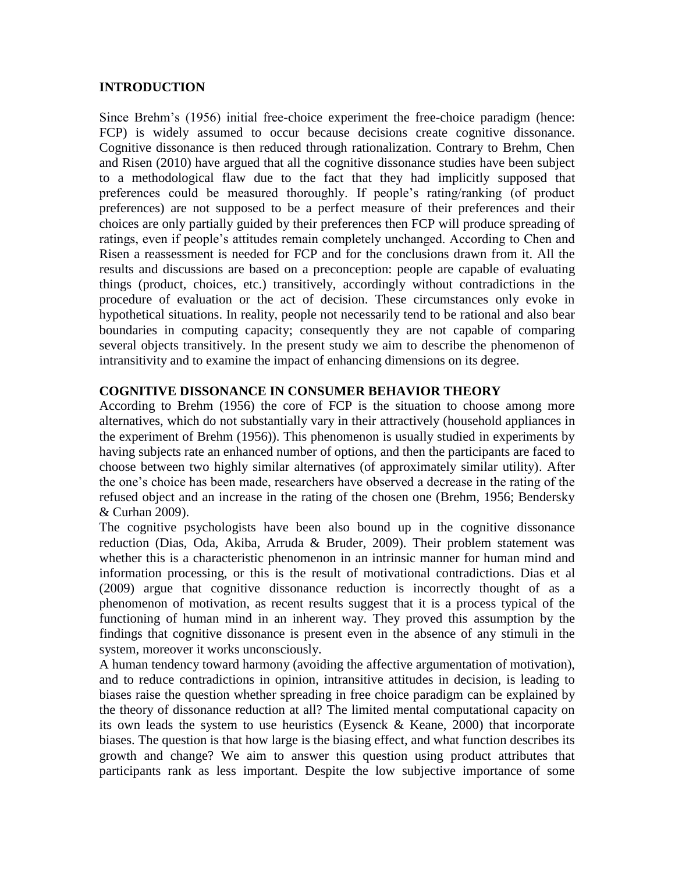#### **INTRODUCTION**

Since Brehm's (1956) initial free-choice experiment the free-choice paradigm (hence: FCP) is widely assumed to occur because decisions create cognitive dissonance. Cognitive dissonance is then reduced through rationalization. Contrary to Brehm, Chen and Risen (2010) have argued that all the cognitive dissonance studies have been subject to a methodological flaw due to the fact that they had implicitly supposed that preferences could be measured thoroughly. If people's rating/ranking (of product preferences) are not supposed to be a perfect measure of their preferences and their choices are only partially guided by their preferences then FCP will produce spreading of ratings, even if people's attitudes remain completely unchanged. According to Chen and Risen a reassessment is needed for FCP and for the conclusions drawn from it. All the results and discussions are based on a preconception: people are capable of evaluating things (product, choices, etc.) transitively, accordingly without contradictions in the procedure of evaluation or the act of decision. These circumstances only evoke in hypothetical situations. In reality, people not necessarily tend to be rational and also bear boundaries in computing capacity; consequently they are not capable of comparing several objects transitively. In the present study we aim to describe the phenomenon of intransitivity and to examine the impact of enhancing dimensions on its degree.

#### **COGNITIVE DISSONANCE IN CONSUMER BEHAVIOR THEORY**

According to Brehm (1956) the core of FCP is the situation to choose among more alternatives, which do not substantially vary in their attractively (household appliances in the experiment of Brehm (1956)). This phenomenon is usually studied in experiments by having subjects rate an enhanced number of options, and then the participants are faced to choose between two highly similar alternatives (of approximately similar utility). After the one's choice has been made, researchers have observed a decrease in the rating of the refused object and an increase in the rating of the chosen one (Brehm, 1956; Bendersky & Curhan 2009).

The cognitive psychologists have been also bound up in the cognitive dissonance reduction (Dias, Oda, Akiba, Arruda & Bruder, 2009). Their problem statement was whether this is a characteristic phenomenon in an intrinsic manner for human mind and information processing, or this is the result of motivational contradictions. Dias et al (2009) argue that cognitive dissonance reduction is incorrectly thought of as a phenomenon of motivation, as recent results suggest that it is a process typical of the functioning of human mind in an inherent way. They proved this assumption by the findings that cognitive dissonance is present even in the absence of any stimuli in the system, moreover it works unconsciously.

A human tendency toward harmony (avoiding the affective argumentation of motivation), and to reduce contradictions in opinion, intransitive attitudes in decision, is leading to biases raise the question whether spreading in free choice paradigm can be explained by the theory of dissonance reduction at all? The limited mental computational capacity on its own leads the system to use heuristics (Eysenck & Keane, 2000) that incorporate biases. The question is that how large is the biasing effect, and what function describes its growth and change? We aim to answer this question using product attributes that participants rank as less important. Despite the low subjective importance of some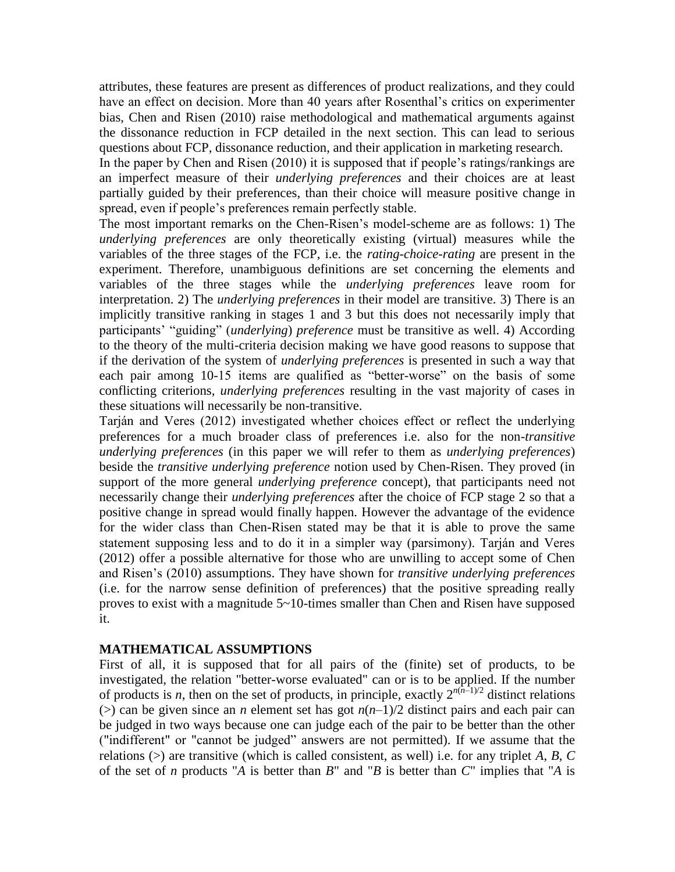attributes, these features are present as differences of product realizations, and they could have an effect on decision. More than 40 years after Rosenthal's critics on experimenter bias, Chen and Risen (2010) raise methodological and mathematical arguments against the dissonance reduction in FCP detailed in the next section. This can lead to serious questions about FCP, dissonance reduction, and their application in marketing research.

In the paper by Chen and Risen (2010) it is supposed that if people's ratings/rankings are an imperfect measure of their *underlying preferences* and their choices are at least partially guided by their preferences, than their choice will measure positive change in spread, even if people's preferences remain perfectly stable.

The most important remarks on the Chen-Risen's model-scheme are as follows: 1) The *underlying preferences* are only theoretically existing (virtual) measures while the variables of the three stages of the FCP, i.e. the *rating-choice-rating* are present in the experiment. Therefore, unambiguous definitions are set concerning the elements and variables of the three stages while the *underlying preferences* leave room for interpretation. 2) The *underlying preferences* in their model are transitive. 3) There is an implicitly transitive ranking in stages 1 and 3 but this does not necessarily imply that participants' "guiding" (*underlying*) *preference* must be transitive as well. 4) According to the theory of the multi-criteria decision making we have good reasons to suppose that if the derivation of the system of *underlying preferences* is presented in such a way that each pair among 10-15 items are qualified as "better-worse" on the basis of some conflicting criterions, *underlying preferences* resulting in the vast majority of cases in these situations will necessarily be non-transitive.

Tarján and Veres (2012) investigated whether choices effect or reflect the underlying preferences for a much broader class of preferences i.e. also for the non-*transitive underlying preferences* (in this paper we will refer to them as *underlying preferences*) beside the *transitive underlying preference* notion used by Chen-Risen. They proved (in support of the more general *underlying preference* concept), that participants need not necessarily change their *underlying preferences* after the choice of FCP stage 2 so that a positive change in spread would finally happen. However the advantage of the evidence for the wider class than Chen-Risen stated may be that it is able to prove the same statement supposing less and to do it in a simpler way (parsimony). Tarján and Veres (2012) offer a possible alternative for those who are unwilling to accept some of Chen and Risen's (2010) assumptions. They have shown for *transitive underlying preferences* (i.e. for the narrow sense definition of preferences) that the positive spreading really proves to exist with a magnitude 5~10-times smaller than Chen and Risen have supposed it.

#### **MATHEMATICAL ASSUMPTIONS**

First of all, it is supposed that for all pairs of the (finite) set of products, to be investigated, the relation "better-worse evaluated" can or is to be applied. If the number of products is *n*, then on the set of products, in principle, exactly  $2^{n(n-1)/2}$  distinct relations ( $>$ ) can be given since an *n* element set has got  $n(n-1)/2$  distinct pairs and each pair can be judged in two ways because one can judge each of the pair to be better than the other ("indifferent" or "cannot be judged" answers are not permitted). If we assume that the relations (>) are transitive (which is called consistent, as well) i.e. for any triplet *A*, *B*, *C* of the set of *n* products "*A* is better than *B*" and "*B* is better than *C*" implies that "*A* is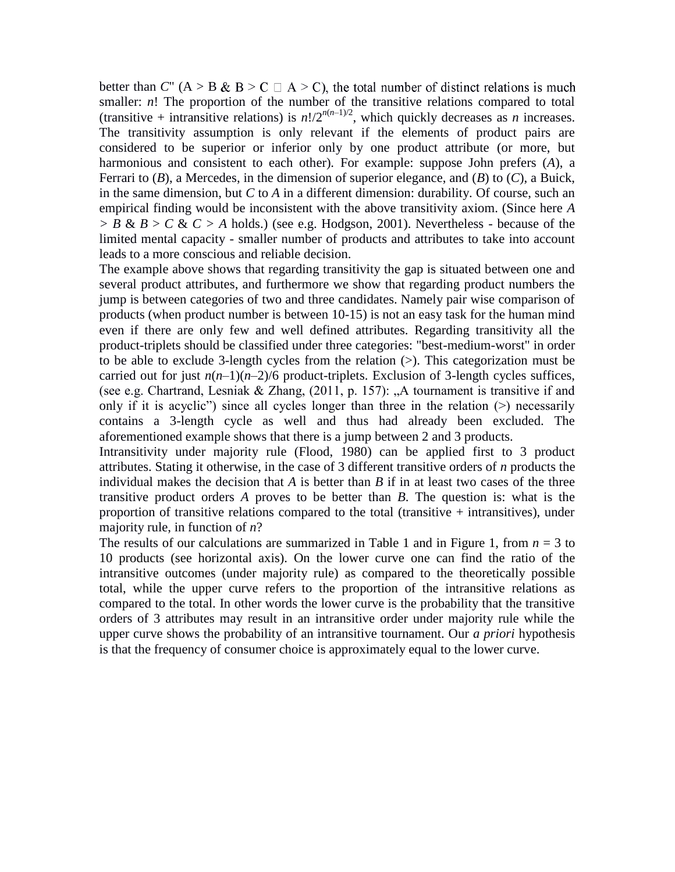better than *C*" (A > B & B > C  $\Box$  A > C), the total number of distinct relations is much smaller: *n*! The proportion of the number of the transitive relations compared to total (transitive + intransitive relations) is  $n!/2^{n(n-1)/2}$ , which quickly decreases as *n* increases. The transitivity assumption is only relevant if the elements of product pairs are considered to be superior or inferior only by one product attribute (or more, but harmonious and consistent to each other). For example: suppose John prefers (*A*), a Ferrari to (*B*), a Mercedes, in the dimension of superior elegance, and (*B*) to (*C*), a Buick, in the same dimension, but *C* to *A* in a different dimension: durability. Of course, such an empirical finding would be inconsistent with the above transitivity axiom. (Since here *A > B* & *B* > *C* & *C > A* holds.) (see e.g. Hodgson, 2001). Nevertheless - because of the limited mental capacity - smaller number of products and attributes to take into account leads to a more conscious and reliable decision.

The example above shows that regarding transitivity the gap is situated between one and several product attributes, and furthermore we show that regarding product numbers the jump is between categories of two and three candidates. Namely pair wise comparison of products (when product number is between 10-15) is not an easy task for the human mind even if there are only few and well defined attributes. Regarding transitivity all the product-triplets should be classified under three categories: "best-medium-worst" in order to be able to exclude 3-length cycles from the relation (>). This categorization must be carried out for just  $n(n-1)(n-2)/6$  product-triplets. Exclusion of 3-length cycles suffices, (see e.g. Chartrand, Lesniak & Zhang,  $(2011, p. 157)$ : "A tournament is transitive if and only if it is acyclic") since all cycles longer than three in the relation (>) necessarily contains a 3-length cycle as well and thus had already been excluded. The aforementioned example shows that there is a jump between 2 and 3 products.

Intransitivity under majority rule (Flood, 1980) can be applied first to 3 product attributes. Stating it otherwise, in the case of 3 different transitive orders of *n* products the individual makes the decision that *A* is better than *B* if in at least two cases of the three transitive product orders *A* proves to be better than *B*. The question is: what is the proportion of transitive relations compared to the total (transitive  $+$  intransitives), under majority rule, in function of *n*?

The results of our calculations are summarized in Table 1 and in Figure 1, from  $n = 3$  to 10 products (see horizontal axis). On the lower curve one can find the ratio of the intransitive outcomes (under majority rule) as compared to the theoretically possible total, while the upper curve refers to the proportion of the intransitive relations as compared to the total. In other words the lower curve is the probability that the transitive orders of 3 attributes may result in an intransitive order under majority rule while the upper curve shows the probability of an intransitive tournament. Our *a priori* hypothesis is that the frequency of consumer choice is approximately equal to the lower curve.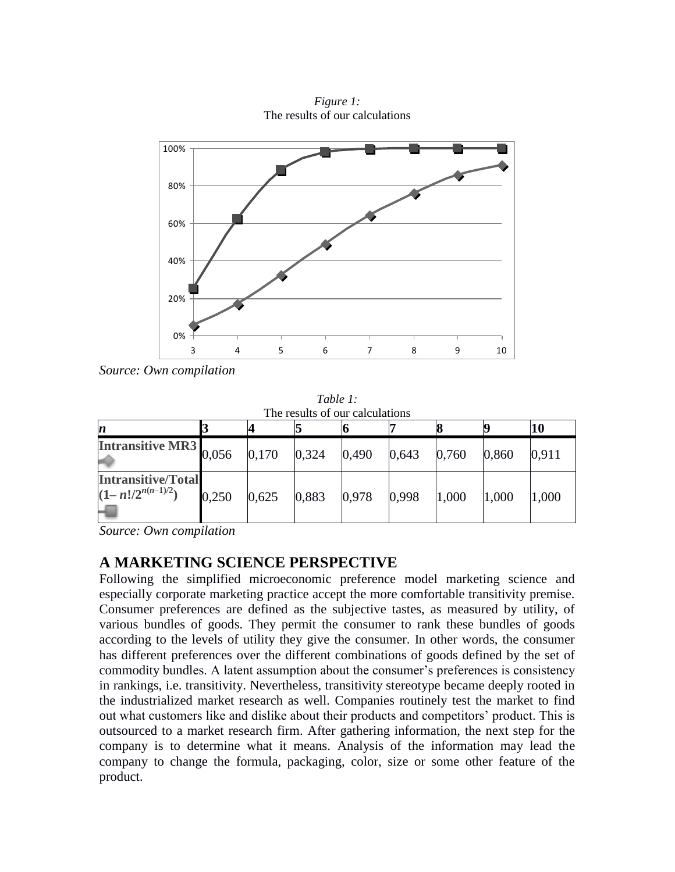

*Figure 1:* The results of our calculations

*Source: Own compilation*

*Table 1:* The results of our calculations

| $\boldsymbol{n}$                                   |       |       |       |       |       |       |       |       |
|----------------------------------------------------|-------|-------|-------|-------|-------|-------|-------|-------|
| Intransitive MR3 0,056                             |       | 0,170 | 0,324 | 0,490 | 0,643 | 0,760 | 0,860 | 0,911 |
| <b>Intransitive/Total</b><br>$(1-n!/2^{n(n-1)/2})$ | 0,250 | 0,625 | 0,883 | 0,978 | 0,998 | 1,000 | 1,000 | 1,000 |

*Source: Own compilation*

# **A MARKETING SCIENCE PERSPECTIVE**

Following the simplified microeconomic preference model marketing science and especially corporate marketing practice accept the more comfortable transitivity premise. Consumer preferences are defined as the subjective tastes, as measured by utility, of various bundles of goods. They permit the consumer to rank these bundles of goods according to the levels of utility they give the consumer. In other words, the consumer has different preferences over the different combinations of goods defined by the set of commodity bundles. A latent assumption about the consumer's preferences is consistency in rankings, i.e. transitivity. Nevertheless, transitivity stereotype became deeply rooted in the industrialized market research as well. Companies routinely test the market to find out what customers like and dislike about their products and competitors' product. This is outsourced to a market research firm. After gathering information, the next step for the company is to determine what it means. Analysis of the information may lead the company to change the formula, packaging, color, size or some other feature of the product.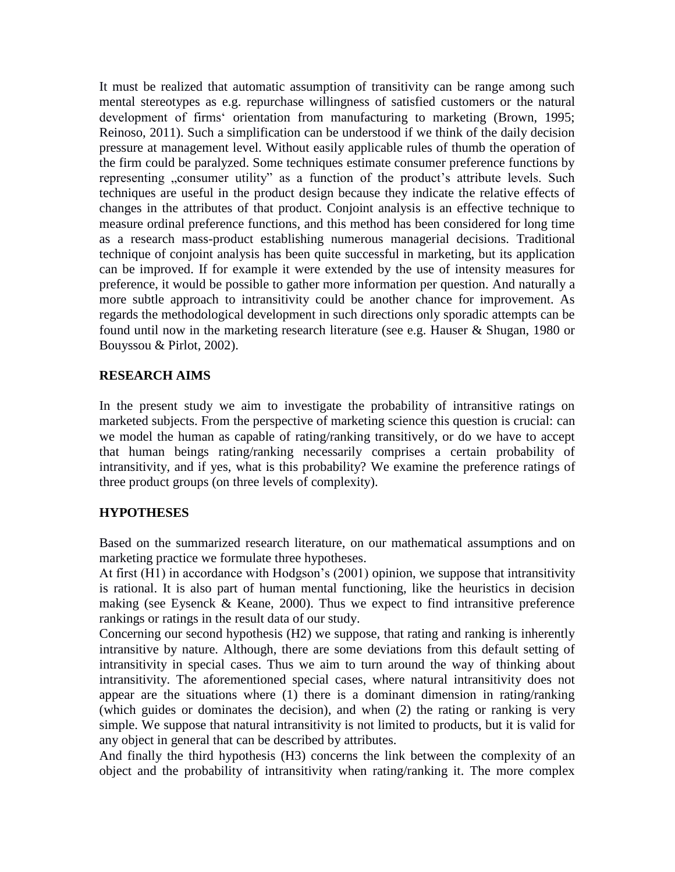It must be realized that automatic assumption of transitivity can be range among such mental stereotypes as e.g. repurchase willingness of satisfied customers or the natural development of firms' orientation from manufacturing to marketing (Brown, 1995; Reinoso, 2011). Such a simplification can be understood if we think of the daily decision pressure at management level. Without easily applicable rules of thumb the operation of the firm could be paralyzed. Some techniques estimate consumer preference functions by representing "consumer utility" as a function of the product's attribute levels. Such techniques are useful in the product design because they indicate the relative effects of changes in the attributes of that product. Conjoint analysis is an effective technique to measure ordinal preference functions, and this method has been considered for long time as a research mass-product establishing numerous managerial decisions. Traditional technique of conjoint analysis has been quite successful in marketing, but its application can be improved. If for example it were extended by the use of intensity measures for preference, it would be possible to gather more information per question. And naturally a more subtle approach to intransitivity could be another chance for improvement. As regards the methodological development in such directions only sporadic attempts can be found until now in the marketing research literature (see e.g. Hauser & Shugan, 1980 or Bouyssou & Pirlot, 2002).

#### **RESEARCH AIMS**

In the present study we aim to investigate the probability of intransitive ratings on marketed subjects. From the perspective of marketing science this question is crucial: can we model the human as capable of rating/ranking transitively, or do we have to accept that human beings rating/ranking necessarily comprises a certain probability of intransitivity, and if yes, what is this probability? We examine the preference ratings of three product groups (on three levels of complexity).

## **HYPOTHESES**

Based on the summarized research literature, on our mathematical assumptions and on marketing practice we formulate three hypotheses.

At first (H1) in accordance with Hodgson's (2001) opinion, we suppose that intransitivity is rational. It is also part of human mental functioning, like the heuristics in decision making (see Eysenck & Keane, 2000). Thus we expect to find intransitive preference rankings or ratings in the result data of our study.

Concerning our second hypothesis (H2) we suppose, that rating and ranking is inherently intransitive by nature. Although, there are some deviations from this default setting of intransitivity in special cases. Thus we aim to turn around the way of thinking about intransitivity. The aforementioned special cases, where natural intransitivity does not appear are the situations where (1) there is a dominant dimension in rating/ranking (which guides or dominates the decision), and when (2) the rating or ranking is very simple. We suppose that natural intransitivity is not limited to products, but it is valid for any object in general that can be described by attributes.

And finally the third hypothesis (H3) concerns the link between the complexity of an object and the probability of intransitivity when rating/ranking it. The more complex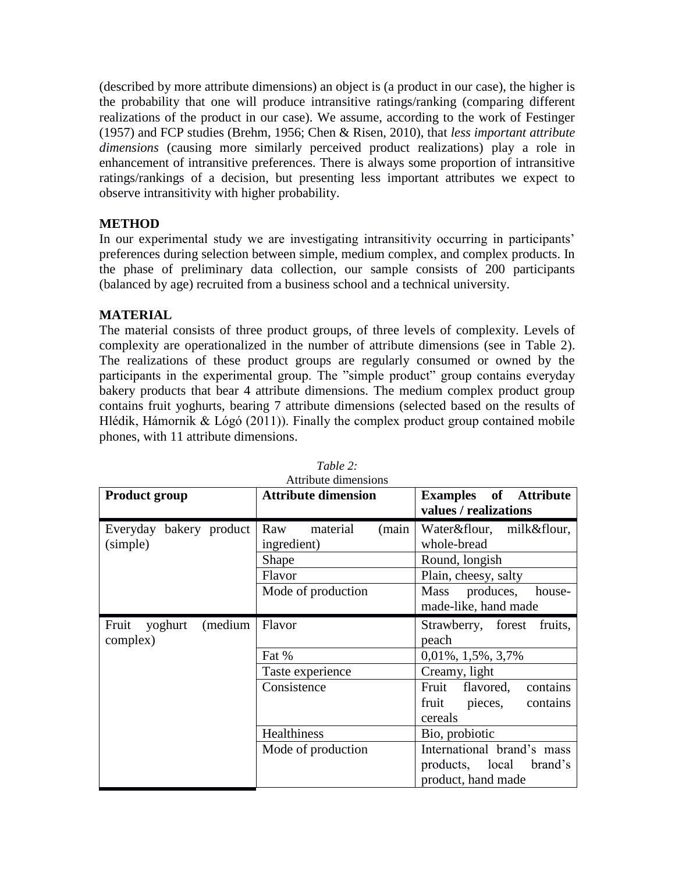(described by more attribute dimensions) an object is (a product in our case), the higher is the probability that one will produce intransitive ratings/ranking (comparing different realizations of the product in our case). We assume, according to the work of Festinger (1957) and FCP studies (Brehm, 1956; Chen & Risen, 2010), that *less important attribute dimensions* (causing more similarly perceived product realizations) play a role in enhancement of intransitive preferences. There is always some proportion of intransitive ratings/rankings of a decision, but presenting less important attributes we expect to observe intransitivity with higher probability.

## **METHOD**

In our experimental study we are investigating intransitivity occurring in participants' preferences during selection between simple, medium complex, and complex products. In the phase of preliminary data collection, our sample consists of 200 participants (balanced by age) recruited from a business school and a technical university.

#### **MATERIAL**

The material consists of three product groups, of three levels of complexity. Levels of complexity are operationalized in the number of attribute dimensions (see in Table 2). The realizations of these product groups are regularly consumed or owned by the participants in the experimental group. The "simple product" group contains everyday bakery products that bear 4 attribute dimensions. The medium complex product group contains fruit yoghurts, bearing 7 attribute dimensions (selected based on the results of Hlédik, Hámornik & Lógó (2011)). Finally the complex product group contained mobile phones, with 11 attribute dimensions.

| <b>Product group</b>        | <b>Attribute dimension</b> | <b>Examples</b> of <b>Attribute</b> |  |  |
|-----------------------------|----------------------------|-------------------------------------|--|--|
|                             |                            | values / realizations               |  |  |
| Everyday bakery product     | material<br>Raw<br>(main   | Water&flour, milk&flour,            |  |  |
| (simple)                    | ingredient)                | whole-bread                         |  |  |
|                             | Shape                      | Round, longish                      |  |  |
|                             | Flavor                     | Plain, cheesy, salty                |  |  |
|                             | Mode of production         | Mass produces,<br>house-            |  |  |
|                             |                            | made-like, hand made                |  |  |
| Fruit<br>(medium<br>yoghurt | Flavor                     | Strawberry, forest fruits,          |  |  |
| complex)                    |                            | peach                               |  |  |
|                             | Fat %                      | $0,01\%, 1,5\%, 3,7\%$              |  |  |
|                             | Taste experience           | Creamy, light                       |  |  |
|                             | Consistence                | Fruit flavored, contains            |  |  |
|                             |                            | fruit pieces, contains              |  |  |
|                             |                            | cereals                             |  |  |
|                             | Healthiness                | Bio, probiotic                      |  |  |
|                             | Mode of production         | International brand's mass          |  |  |
|                             |                            | products, local brand's             |  |  |
|                             |                            | product, hand made                  |  |  |

*Table 2:*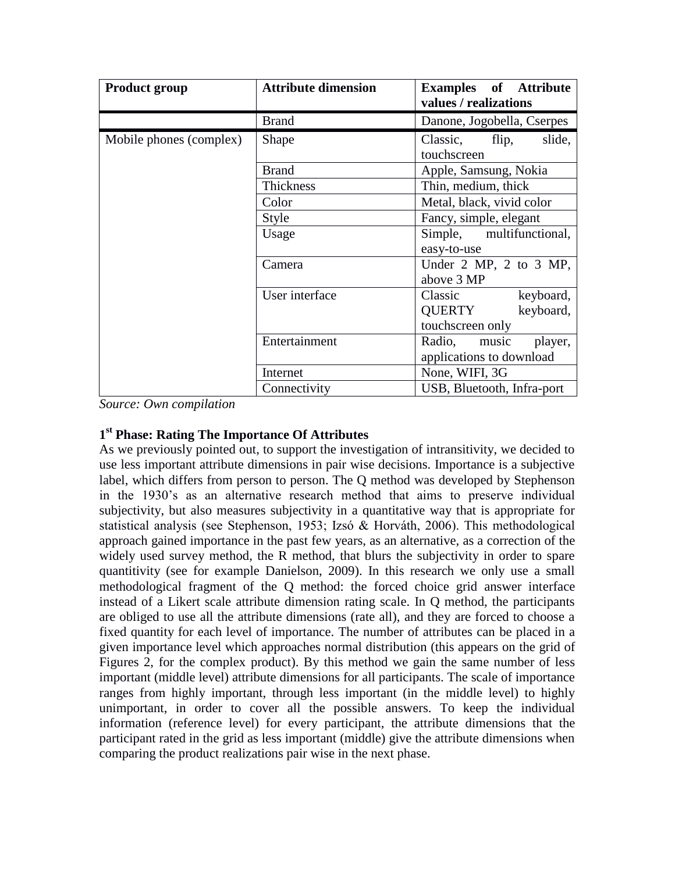| <b>Product group</b>    | <b>Attribute dimension</b> | <b>Examples</b> of <b>Attribute</b><br>values / realizations |  |  |
|-------------------------|----------------------------|--------------------------------------------------------------|--|--|
|                         | <b>Brand</b>               | Danone, Jogobella, Cserpes                                   |  |  |
| Mobile phones (complex) | Shape                      | Classic, flip,<br>slide,<br>touchscreen                      |  |  |
|                         | <b>Brand</b>               | Apple, Samsung, Nokia                                        |  |  |
|                         | Thickness                  | Thin, medium, thick                                          |  |  |
|                         | Color                      | Metal, black, vivid color                                    |  |  |
|                         | Style                      | Fancy, simple, elegant                                       |  |  |
|                         | Usage                      | Simple, multifunctional,                                     |  |  |
|                         |                            | easy-to-use                                                  |  |  |
|                         | Camera                     | Under $2$ MP, $2$ to $3$ MP,                                 |  |  |
|                         |                            | above 3 MP                                                   |  |  |
|                         | User interface             | Classic<br>keyboard,                                         |  |  |
|                         |                            | QUERTY<br>keyboard,                                          |  |  |
|                         |                            | touchscreen only                                             |  |  |
|                         | Entertainment              | Radio, music player,<br>applications to download             |  |  |
|                         | Internet                   | None, WIFI, 3G                                               |  |  |
|                         | Connectivity               | USB, Bluetooth, Infra-port                                   |  |  |

*Source: Own compilation*

## **1 st Phase: Rating The Importance Of Attributes**

As we previously pointed out, to support the investigation of intransitivity, we decided to use less important attribute dimensions in pair wise decisions. Importance is a subjective label, which differs from person to person. The Q method was developed by Stephenson in the 1930's as an alternative research method that aims to preserve individual subjectivity, but also measures subjectivity in a quantitative way that is appropriate for statistical analysis (see Stephenson, 1953; Izsó & Horváth, 2006). This methodological approach gained importance in the past few years, as an alternative, as a correction of the widely used survey method, the R method, that blurs the subjectivity in order to spare quantitivity (see for example Danielson, 2009). In this research we only use a small methodological fragment of the Q method: the forced choice grid answer interface instead of a Likert scale attribute dimension rating scale. In Q method, the participants are obliged to use all the attribute dimensions (rate all), and they are forced to choose a fixed quantity for each level of importance. The number of attributes can be placed in a given importance level which approaches normal distribution (this appears on the grid of Figures 2, for the complex product). By this method we gain the same number of less important (middle level) attribute dimensions for all participants. The scale of importance ranges from highly important, through less important (in the middle level) to highly unimportant, in order to cover all the possible answers. To keep the individual information (reference level) for every participant, the attribute dimensions that the participant rated in the grid as less important (middle) give the attribute dimensions when comparing the product realizations pair wise in the next phase.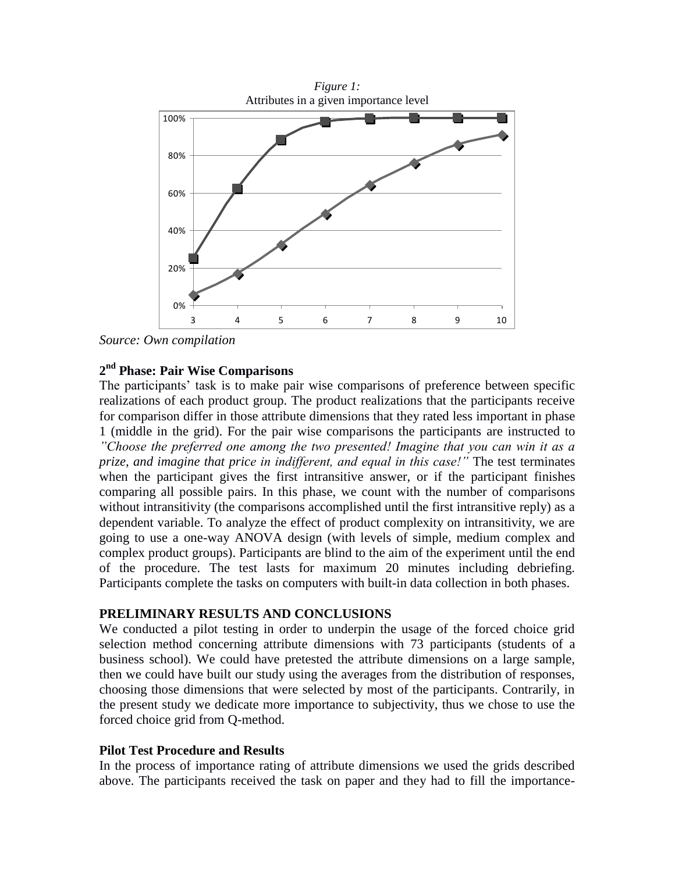

*Source: Own compilation*

## **2 nd Phase: Pair Wise Comparisons**

The participants' task is to make pair wise comparisons of preference between specific realizations of each product group. The product realizations that the participants receive for comparison differ in those attribute dimensions that they rated less important in phase 1 (middle in the grid). For the pair wise comparisons the participants are instructed to *"Choose the preferred one among the two presented! Imagine that you can win it as a prize, and imagine that price in indifferent, and equal in this case!"* The test terminates when the participant gives the first intransitive answer, or if the participant finishes comparing all possible pairs. In this phase, we count with the number of comparisons without intransitivity (the comparisons accomplished until the first intransitive reply) as a dependent variable. To analyze the effect of product complexity on intransitivity, we are going to use a one-way ANOVA design (with levels of simple, medium complex and complex product groups). Participants are blind to the aim of the experiment until the end of the procedure. The test lasts for maximum 20 minutes including debriefing. Participants complete the tasks on computers with built-in data collection in both phases.

#### **PRELIMINARY RESULTS AND CONCLUSIONS**

We conducted a pilot testing in order to underpin the usage of the forced choice grid selection method concerning attribute dimensions with 73 participants (students of a business school). We could have pretested the attribute dimensions on a large sample, then we could have built our study using the averages from the distribution of responses, choosing those dimensions that were selected by most of the participants. Contrarily, in the present study we dedicate more importance to subjectivity, thus we chose to use the forced choice grid from Q-method.

#### **Pilot Test Procedure and Results**

In the process of importance rating of attribute dimensions we used the grids described above. The participants received the task on paper and they had to fill the importance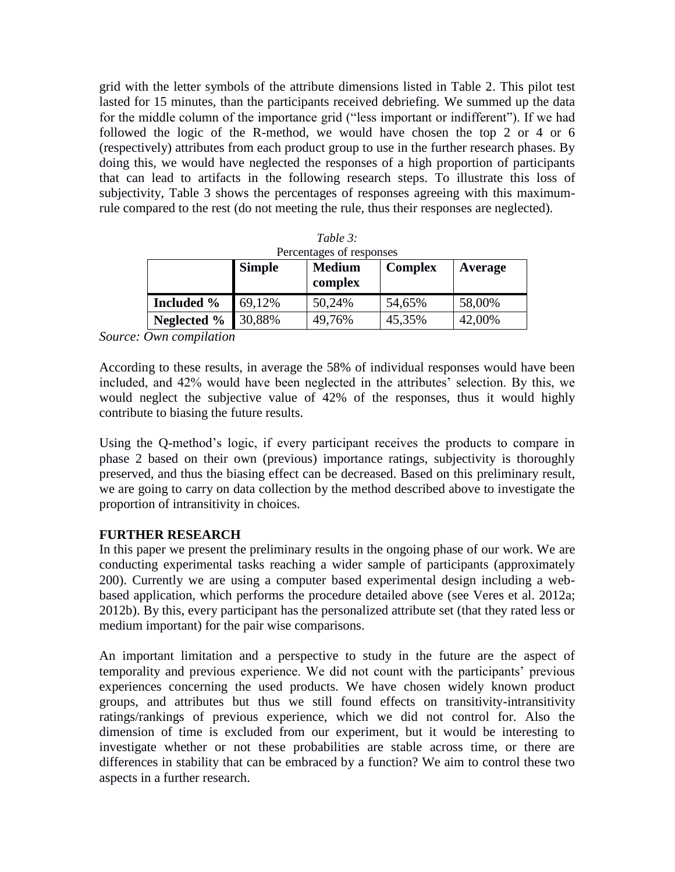grid with the letter symbols of the attribute dimensions listed in Table 2. This pilot test lasted for 15 minutes, than the participants received debriefing. We summed up the data for the middle column of the importance grid ("less important or indifferent"). If we had followed the logic of the R-method, we would have chosen the top 2 or 4 or 6 (respectively) attributes from each product group to use in the further research phases. By doing this, we would have neglected the responses of a high proportion of participants that can lead to artifacts in the following research steps. To illustrate this loss of subjectivity, Table 3 shows the percentages of responses agreeing with this maximumrule compared to the rest (do not meeting the rule, thus their responses are neglected).

| Table $3$ :<br>Percentages of responses |               |                          |                |         |  |  |
|-----------------------------------------|---------------|--------------------------|----------------|---------|--|--|
|                                         | <b>Simple</b> | <b>Medium</b><br>complex | <b>Complex</b> | Average |  |  |
| <b>Included %</b>                       | 69,12%        | 50,24%                   | 54,65%         | 58,00%  |  |  |
| Neglected $\%$                          | 30,88%        | 49,76%                   | 45,35%         | 42,00%  |  |  |

*Source: Own compilation*

According to these results, in average the 58% of individual responses would have been included, and 42% would have been neglected in the attributes' selection. By this, we would neglect the subjective value of 42% of the responses, thus it would highly contribute to biasing the future results.

Using the Q-method's logic, if every participant receives the products to compare in phase 2 based on their own (previous) importance ratings, subjectivity is thoroughly preserved, and thus the biasing effect can be decreased. Based on this preliminary result, we are going to carry on data collection by the method described above to investigate the proportion of intransitivity in choices.

## **FURTHER RESEARCH**

In this paper we present the preliminary results in the ongoing phase of our work. We are conducting experimental tasks reaching a wider sample of participants (approximately 200). Currently we are using a computer based experimental design including a webbased application, which performs the procedure detailed above (see Veres et al. 2012a; 2012b). By this, every participant has the personalized attribute set (that they rated less or medium important) for the pair wise comparisons.

An important limitation and a perspective to study in the future are the aspect of temporality and previous experience. We did not count with the participants' previous experiences concerning the used products. We have chosen widely known product groups, and attributes but thus we still found effects on transitivity-intransitivity ratings/rankings of previous experience, which we did not control for. Also the dimension of time is excluded from our experiment, but it would be interesting to investigate whether or not these probabilities are stable across time, or there are differences in stability that can be embraced by a function? We aim to control these two aspects in a further research.